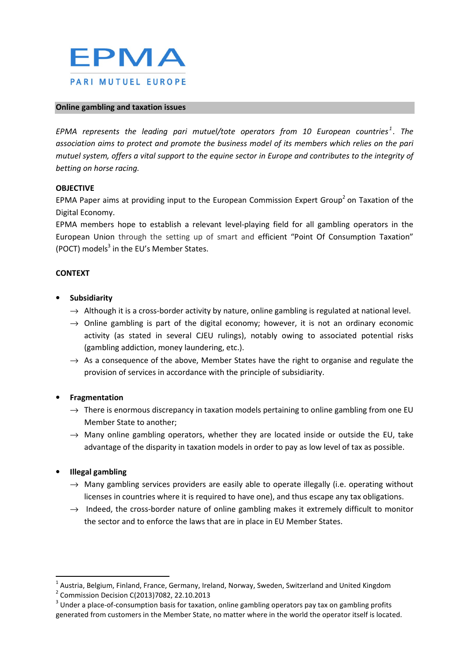

#### Online gambling and taxation issues

EPMA represents the leading pari mutuel/tote operators from 10 European countries<sup>1</sup>. The association aims to protect and promote the business model of its members which relies on the pari mutuel system, offers a vital support to the equine sector in Europe and contributes to the integrity of betting on horse racing.

### OBJECTIVE

EPMA Paper aims at providing input to the European Commission Expert Group<sup>2</sup> on Taxation of the Digital Economy.

EPMA members hope to establish a relevant level-playing field for all gambling operators in the European Union through the setting up of smart and efficient "Point Of Consumption Taxation" (POCT) models<sup>3</sup> in the EU's Member States.

### CONTEXT

- **Subsidiarity** 
	- $\rightarrow$  Although it is a cross-border activity by nature, online gambling is regulated at national level.
	- $\rightarrow$  Online gambling is part of the digital economy; however, it is not an ordinary economic activity (as stated in several CJEU rulings), notably owing to associated potential risks (gambling addiction, money laundering, etc.).
	- $\rightarrow$  As a consequence of the above. Member States have the right to organise and regulate the provision of services in accordance with the principle of subsidiarity.

### **Fragmentation**

- $\rightarrow$  There is enormous discrepancy in taxation models pertaining to online gambling from one EU Member State to another;
- $\rightarrow$  Many online gambling operators, whether they are located inside or outside the EU, take advantage of the disparity in taxation models in order to pay as low level of tax as possible.

### • Illegal gambling

- $\rightarrow$  Many gambling services providers are easily able to operate illegally (i.e. operating without licenses in countries where it is required to have one), and thus escape any tax obligations.
- $\rightarrow$  Indeed, the cross-border nature of online gambling makes it extremely difficult to monitor the sector and to enforce the laws that are in place in EU Member States.

 $^1$  Austria, Belgium, Finland, France, Germany, Ireland, Norway, Sweden, Switzerland and United Kingdom

<sup>&</sup>lt;sup>2</sup> Commission Decision C(2013)7082, 22.10.2013

 $3$  Under a place-of-consumption basis for taxation, online gambling operators pay tax on gambling profits generated from customers in the Member State, no matter where in the world the operator itself is located.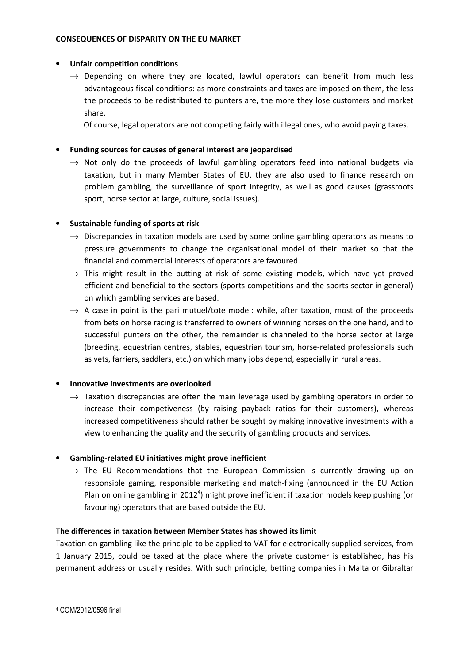### CONSEQUENCES OF DISPARITY ON THE EU MARKET

### • Unfair competition conditions

 $\rightarrow$  Depending on where they are located, lawful operators can benefit from much less advantageous fiscal conditions: as more constraints and taxes are imposed on them, the less the proceeds to be redistributed to punters are, the more they lose customers and market share.

Of course, legal operators are not competing fairly with illegal ones, who avoid paying taxes.

• Funding sources for causes of general interest are jeopardised

 $\rightarrow$  Not only do the proceeds of lawful gambling operators feed into national budgets via taxation, but in many Member States of EU, they are also used to finance research on problem gambling, the surveillance of sport integrity, as well as good causes (grassroots sport, horse sector at large, culture, social issues).

## • Sustainable funding of sports at risk

- $\rightarrow$  Discrepancies in taxation models are used by some online gambling operators as means to pressure governments to change the organisational model of their market so that the financial and commercial interests of operators are favoured.
- $\rightarrow$  This might result in the putting at risk of some existing models, which have yet proved efficient and beneficial to the sectors (sports competitions and the sports sector in general) on which gambling services are based.
- $\rightarrow$  A case in point is the pari mutuel/tote model: while, after taxation, most of the proceeds from bets on horse racing is transferred to owners of winning horses on the one hand, and to successful punters on the other, the remainder is channeled to the horse sector at large (breeding, equestrian centres, stables, equestrian tourism, horse-related professionals such as vets, farriers, saddlers, etc.) on which many jobs depend, especially in rural areas.

## • Innovative investments are overlooked

 $\rightarrow$  Taxation discrepancies are often the main leverage used by gambling operators in order to increase their competiveness (by raising payback ratios for their customers), whereas increased competitiveness should rather be sought by making innovative investments with a view to enhancing the quality and the security of gambling products and services.

## • Gambling-related EU initiatives might prove inefficient

 $\rightarrow$  The EU Recommendations that the European Commission is currently drawing up on responsible gaming, responsible marketing and match-fixing (announced in the EU Action Plan on online gambling in 2012<sup>4</sup>) might prove inefficient if taxation models keep pushing (or favouring) operators that are based outside the EU.

# The differences in taxation between Member States has showed its limit

Taxation on gambling like the principle to be applied to VAT for electronically supplied services, from 1 January 2015, could be taxed at the place where the private customer is established, has his permanent address or usually resides. With such principle, betting companies in Malta or Gibraltar

l

<sup>4</sup> COM/2012/0596 final